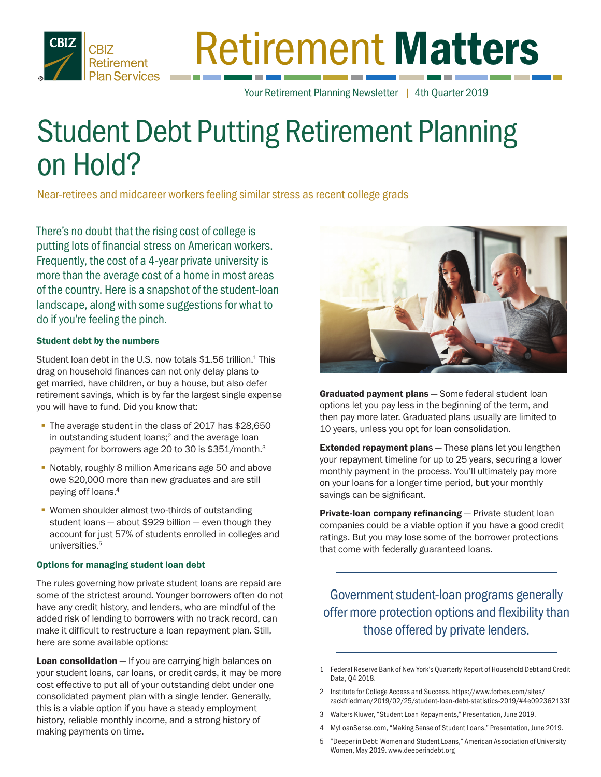

# Retirement Matters

Your Retirement Planning Newsletter | 4th Quarter 2019

# Student Debt Putting Retirement Planning on Hold?

Near-retirees and midcareer workers feeling similar stress as recent college grads

There's no doubt that the rising cost of college is putting lots of financial stress on American workers. Frequently, the cost of a 4-year private university is more than the average cost of a home in most areas of the country. Here is a snapshot of the student-loan landscape, along with some suggestions for what to do if you're feeling the pinch.

#### Student debt by the numbers

Student loan debt in the U.S. now totals  $$1.56$  trillion.<sup>1</sup> This drag on household finances can not only delay plans to get married, have children, or buy a house, but also defer retirement savings, which is by far the largest single expense you will have to fund. Did you know that:

- The average student in the class of 2017 has \$28,650 in outstanding student loans;<sup>2</sup> and the average loan payment for borrowers age 20 to 30 is \$351/month.3
- Notably, roughly 8 million Americans age 50 and above owe \$20,000 more than new graduates and are still paying off loans.4
- **Women shoulder almost two-thirds of outstanding** student loans — about \$929 billion — even though they account for just 57% of students enrolled in colleges and universities.<sup>5</sup>

#### Options for managing student loan debt

The rules governing how private student loans are repaid are some of the strictest around. Younger borrowers often do not have any credit history, and lenders, who are mindful of the added risk of lending to borrowers with no track record, can make it difficult to restructure a loan repayment plan. Still, here are some available options:

Loan consolidation - If you are carrying high balances on your student loans, car loans, or credit cards, it may be more cost effective to put all of your outstanding debt under one consolidated payment plan with a single lender. Generally, this is a viable option if you have a steady employment history, reliable monthly income, and a strong history of making payments on time.



Graduated payment plans - Some federal student loan options let you pay less in the beginning of the term, and then pay more later. Graduated plans usually are limited to 10 years, unless you opt for loan consolidation.

**Extended repayment plans** - These plans let you lengthen your repayment timeline for up to 25 years, securing a lower monthly payment in the process. You'll ultimately pay more on your loans for a longer time period, but your monthly savings can be significant.

Private-loan company refinancing - Private student loan companies could be a viable option if you have a good credit ratings. But you may lose some of the borrower protections that come with federally guaranteed loans.

Government student-loan programs generally offer more protection options and flexibility than those offered by private lenders.

- 1 Federal Reserve Bank of New York's Quarterly Report of Household Debt and Credit Data, Q4 2018.
- 2 Institute for College Access and Success. https://www.forbes.com/sites/ zackfriedman/2019/02/25/student-loan-debt-statistics-2019/#4e092362133f
- 3 Walters Kluwer, "Student Loan Repayments," Presentation, June 2019.
- 4 MyLoanSense.com, "Making Sense of Student Loans," Presentation, June 2019.
- 5 "Deeper in Debt: Women and Student Loans," American Association of University Women, May 2019. www.deeperindebt.org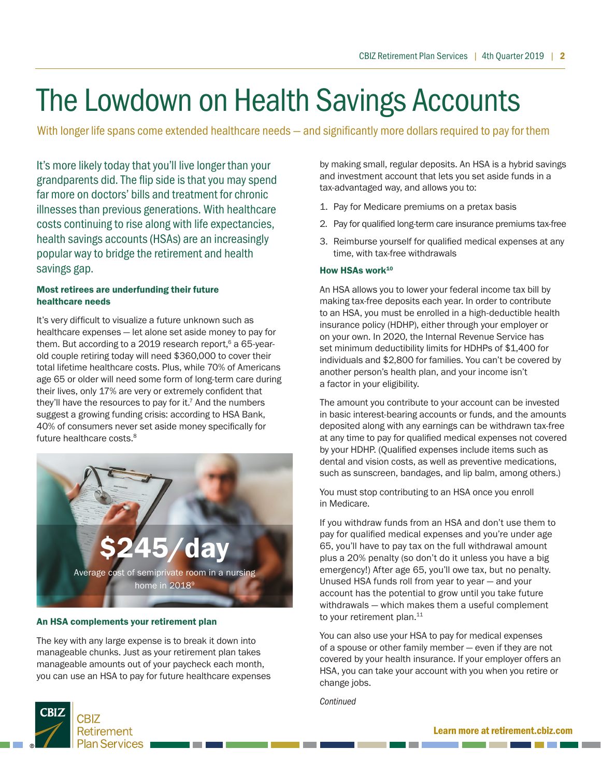# The Lowdown on Health Savings Accounts

With longer life spans come extended healthcare needs – and significantly more dollars required to pay for them

It's more likely today that you'll live longer than your grandparents did. The flip side is that you may spend far more on doctors' bills and treatment for chronic illnesses than previous generations. With healthcare costs continuing to rise along with life expectancies, health savings accounts (HSAs) are an increasingly popular way to bridge the retirement and health savings gap.

#### Most retirees are underfunding their future healthcare needs

It's very difficult to visualize a future unknown such as healthcare expenses — let alone set aside money to pay for them. But according to a 2019 research report, $6$  a 65-yearold couple retiring today will need \$360,000 to cover their total lifetime healthcare costs. Plus, while 70% of Americans age 65 or older will need some form of long-term care during their lives, only 17% are very or extremely confident that they'll have the resources to pay for it.<sup>7</sup> And the numbers suggest a growing funding crisis: according to HSA Bank, 40% of consumers never set aside money specifically for future healthcare costs.<sup>8</sup>



#### An HSA complements your retirement plan

The key with any large expense is to break it down into manageable chunks. Just as your retirement plan takes manageable amounts out of your paycheck each month, you can use an HSA to pay for future healthcare expenses



by making small, regular deposits. An HSA is a hybrid savings and investment account that lets you set aside funds in a tax-advantaged way, and allows you to:

- 1. Pay for Medicare premiums on a pretax basis
- 2. Pay for qualified long-term care insurance premiums tax-free
- 3. Reimburse yourself for qualified medical expenses at any time, with tax-free withdrawals

#### How HSAs work<sup>10</sup>

An HSA allows you to lower your federal income tax bill by making tax-free deposits each year. In order to contribute to an HSA, you must be enrolled in a high-deductible health insurance policy (HDHP), either through your employer or on your own. In 2020, the Internal Revenue Service has set minimum deductibility limits for HDHPs of \$1,400 for individuals and \$2,800 for families. You can't be covered by another person's health plan, and your income isn't a factor in your eligibility.

The amount you contribute to your account can be invested in basic interest-bearing accounts or funds, and the amounts deposited along with any earnings can be withdrawn tax-free at any time to pay for qualified medical expenses not covered by your HDHP. (Qualified expenses include items such as dental and vision costs, as well as preventive medications, such as sunscreen, bandages, and lip balm, among others.)

You must stop contributing to an HSA once you enroll in Medicare.

If you withdraw funds from an HSA and don't use them to pay for qualified medical expenses and you're under age 65, you'll have to pay tax on the full withdrawal amount plus a 20% penalty (so don't do it unless you have a big emergency!) After age 65, you'll owe tax, but no penalty. Unused HSA funds roll from year to year — and your account has the potential to grow until you take future withdrawals — which makes them a useful complement to your retirement plan.<sup>11</sup>

You can also use your HSA to pay for medical expenses of a spouse or other family member — even if they are not covered by your health insurance. If your employer offers an HSA, you can take your account with you when you retire or change jobs.

*Continued*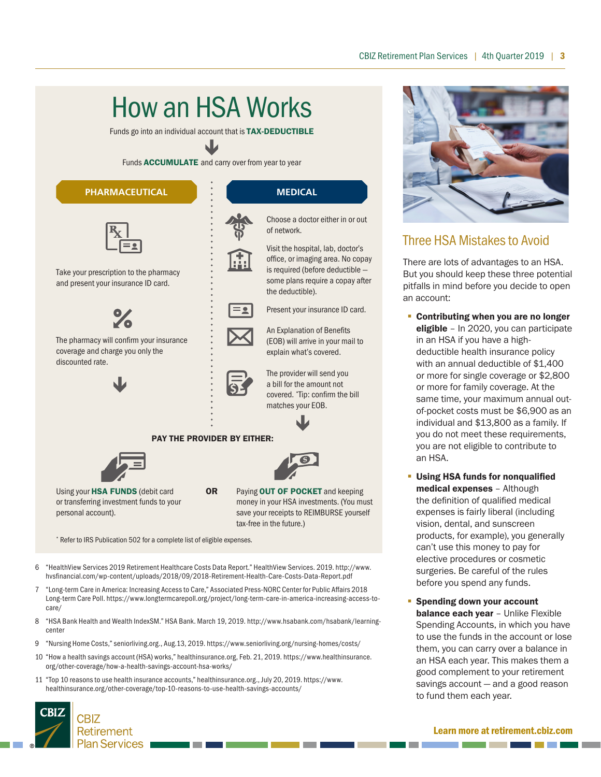### How an HSA Works

Funds go into an individual account that is **TAX-DEDUCTIBLE** 

 $\blacklozenge$ Funds **ACCUMULATE** and carry over from year to year

#### **PHARMACEUTICAL MEDICAL**



Take your prescription to the pharmacy and present your insurance ID card.



The pharmacy will confirm your insurance coverage and charge you only the discounted rate.



of network.



Visit the hospital, lab, doctor's office, or imaging area. No copay is required (before deductible some plans require a copay after the deductible). Present your insurance ID card. An Explanation of Benefits

Choose a doctor either in or out

(EOB) will arrive in your mail to explain what's covered.

The provider will send you a bill for the amount not covered. \* Tip: confirm the bill matches your EOB.

 $\blacklozenge$ 



Using your HSA FUNDS (debit card or transferring investment funds to your personal account).

OR Paying OUT OF POCKET and keeping money in your HSA investments. (You must save your receipts to REIMBURSE yourself tax-free in the future.)

a barat da

**The Contract of Contract of Contract of Contract of Contract of Contract of Contract of Contract of Contract o** 

\* Refer to IRS Publication 502 for a complete list of eligible expenses.

- 6 "HealthView Services 2019 Retirement Healthcare Costs Data Report." HealthView Services. 2019. http://www. hvsfinancial.com/wp-content/uploads/2018/09/2018-Retirement-Health-Care-Costs-Data-Report.pdf
- 7 "Long-term Care in America: Increasing Access to Care," Associated Press-NORC Center for Public Affairs 2018 Long-term Care Poll. https://www.longtermcarepoll.org/project/long-term-care-in-america-increasing-access-tocare/
- 8 "HSA Bank Health and Wealth IndexSM." HSA Bank. March 19, 2019. http://www.hsabank.com/hsabank/learningcenter
- 9 "Nursing Home Costs," seniorliving.org., Aug.13, 2019. https://www.seniorliving.org/nursing-homes/costs/

a port

- 10 "How a health savings account (HSA) works," healthinsurance.org, Feb. 21, 2019. https://www.healthinsurance. org/other-coverage/how-a-health-savings-account-hsa-works/
- 11 "Top 10 reasons to use health insurance accounts," healthinsurance.org., July 20, 2019. https://www. healthinsurance.org/other-coverage/top-10-reasons-to-use-health-savings-accounts/



#### Three HSA Mistakes to Avoid

There are lots of advantages to an HSA. But you should keep these three potential pitfalls in mind before you decide to open an account:

- Contributing when you are no longer eligible - In 2020, you can participate in an HSA if you have a highdeductible health insurance policy with an annual deductible of \$1,400 or more for single coverage or \$2,800 or more for family coverage. At the same time, your maximum annual outof-pocket costs must be \$6,900 as an individual and \$13,800 as a family. If you do not meet these requirements, you are not eligible to contribute to an HSA.
- **Using HSA funds for nonqualified** medical expenses – Although the definition of qualified medical expenses is fairly liberal (including vision, dental, and sunscreen products, for example), you generally can't use this money to pay for elective procedures or cosmetic surgeries. Be careful of the rules before you spend any funds.
- **Spending down your account balance each year** - Unlike Flexible Spending Accounts, in which you have to use the funds in the account or lose them, you can carry over a balance in an HSA each year. This makes them a good complement to your retirement savings account — and a good reason to fund them each year.

#### Learn more at retirement.cbiz.com